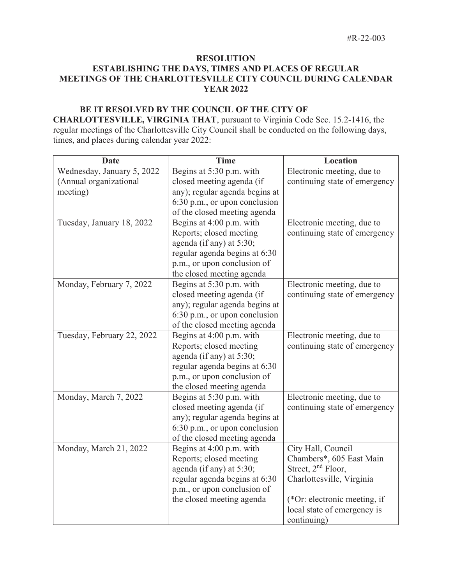## **RESOLUTION ESTABLISHING THE DAYS, TIMES AND PLACES OF REGULAR MEETINGS OF THE CHARLOTTESVILLE CITY COUNCIL DURING CALENDAR YEAR 2022**

## **BE IT RESOLVED BY THE COUNCIL OF THE CITY OF**

**CHARLOTTESVILLE, VIRGINIA THAT**, pursuant to Virginia Code Sec. 15.2-1416, the regular meetings of the Charlottesville City Council shall be conducted on the following days, times, and places during calendar year 2022:

| <b>Date</b>                | <b>Time</b>                    | Location                       |
|----------------------------|--------------------------------|--------------------------------|
| Wednesday, January 5, 2022 | Begins at 5:30 p.m. with       | Electronic meeting, due to     |
| (Annual organizational     | closed meeting agenda (if      | continuing state of emergency  |
| meeting)                   | any); regular agenda begins at |                                |
|                            | 6:30 p.m., or upon conclusion  |                                |
|                            | of the closed meeting agenda   |                                |
| Tuesday, January 18, 2022  | Begins at 4:00 p.m. with       | Electronic meeting, due to     |
|                            | Reports; closed meeting        | continuing state of emergency  |
|                            | agenda (if any) at 5:30;       |                                |
|                            | regular agenda begins at 6:30  |                                |
|                            | p.m., or upon conclusion of    |                                |
|                            | the closed meeting agenda      |                                |
| Monday, February 7, 2022   | Begins at 5:30 p.m. with       | Electronic meeting, due to     |
|                            | closed meeting agenda (if      | continuing state of emergency  |
|                            | any); regular agenda begins at |                                |
|                            | 6:30 p.m., or upon conclusion  |                                |
|                            | of the closed meeting agenda   |                                |
| Tuesday, February 22, 2022 | Begins at 4:00 p.m. with       | Electronic meeting, due to     |
|                            | Reports; closed meeting        | continuing state of emergency  |
|                            | agenda (if any) at 5:30;       |                                |
|                            | regular agenda begins at 6:30  |                                |
|                            | p.m., or upon conclusion of    |                                |
|                            | the closed meeting agenda      |                                |
| Monday, March 7, 2022      | Begins at 5:30 p.m. with       | Electronic meeting, due to     |
|                            | closed meeting agenda (if      | continuing state of emergency  |
|                            | any); regular agenda begins at |                                |
|                            | 6:30 p.m., or upon conclusion  |                                |
|                            | of the closed meeting agenda   |                                |
| Monday, March 21, 2022     | Begins at 4:00 p.m. with       | City Hall, Council             |
|                            | Reports; closed meeting        | Chambers*, 605 East Main       |
|                            | agenda (if any) at 5:30;       | Street, 2 <sup>nd</sup> Floor, |
|                            | regular agenda begins at 6:30  | Charlottesville, Virginia      |
|                            | p.m., or upon conclusion of    |                                |
|                            | the closed meeting agenda      | (*Or: electronic meeting, if   |
|                            |                                | local state of emergency is    |
|                            |                                | continuing)                    |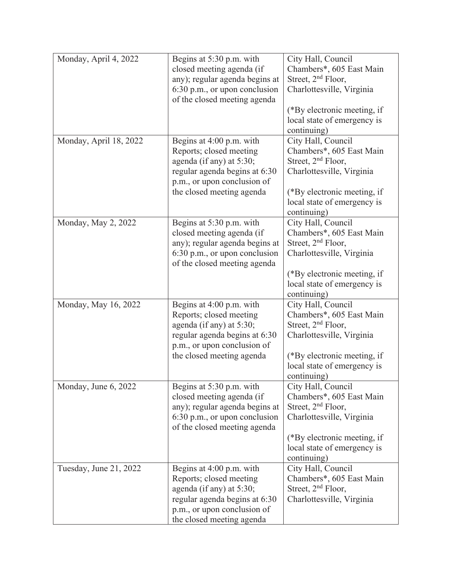| Monday, April 4, 2022  | Begins at 5:30 p.m. with        | City Hall, Council             |
|------------------------|---------------------------------|--------------------------------|
|                        | closed meeting agenda (if       | Chambers*, 605 East Main       |
|                        | any); regular agenda begins at  | Street, $2nd$ Floor,           |
|                        | 6:30 p.m., or upon conclusion   | Charlottesville, Virginia      |
|                        | of the closed meeting agenda    |                                |
|                        |                                 | (*By electronic meeting, if    |
|                        |                                 | local state of emergency is    |
|                        |                                 | continuing)                    |
| Monday, April 18, 2022 | Begins at 4:00 p.m. with        | City Hall, Council             |
|                        | Reports; closed meeting         | Chambers*, 605 East Main       |
|                        | agenda (if any) at 5:30;        | Street, $2nd$ Floor,           |
|                        | regular agenda begins at 6:30   | Charlottesville, Virginia      |
|                        | p.m., or upon conclusion of     |                                |
|                        | the closed meeting agenda       | (*By electronic meeting, if    |
|                        |                                 | local state of emergency is    |
|                        |                                 | continuing)                    |
| Monday, May 2, 2022    | Begins at 5:30 p.m. with        | City Hall, Council             |
|                        | closed meeting agenda (if       | Chambers*, 605 East Main       |
|                        | any); regular agenda begins at  | Street, 2 <sup>nd</sup> Floor, |
|                        | 6:30 p.m., or upon conclusion   | Charlottesville, Virginia      |
|                        | of the closed meeting agenda    |                                |
|                        |                                 | (*By electronic meeting, if    |
|                        |                                 | local state of emergency is    |
|                        |                                 | continuing)                    |
| Monday, May 16, 2022   | Begins at 4:00 p.m. with        | City Hall, Council             |
|                        | Reports; closed meeting         | Chambers*, 605 East Main       |
|                        | agenda (if any) at $5:30$ ;     | Street, $2nd$ Floor,           |
|                        | regular agenda begins at 6:30   | Charlottesville, Virginia      |
|                        | p.m., or upon conclusion of     |                                |
|                        | the closed meeting agenda       | (*By electronic meeting, if    |
|                        |                                 | local state of emergency is    |
|                        |                                 | continuing)                    |
| Monday, June 6, 2022   | Begins at 5:30 p.m. with        | City Hall, Council             |
|                        | closed meeting agenda (if       | Chambers*, 605 East Main       |
|                        | any); regular agenda begins at  | Street, $2nd$ Floor,           |
|                        | $6:30$ p.m., or upon conclusion | Charlottesville, Virginia      |
|                        | of the closed meeting agenda    |                                |
|                        |                                 | (*By electronic meeting, if    |
|                        |                                 | local state of emergency is    |
|                        |                                 | continuing)                    |
| Tuesday, June 21, 2022 | Begins at 4:00 p.m. with        | City Hall, Council             |
|                        | Reports; closed meeting         | Chambers*, 605 East Main       |
|                        | agenda (if any) at 5:30;        | Street, $2nd$ Floor,           |
|                        | regular agenda begins at 6:30   | Charlottesville, Virginia      |
|                        | p.m., or upon conclusion of     |                                |
|                        | the closed meeting agenda       |                                |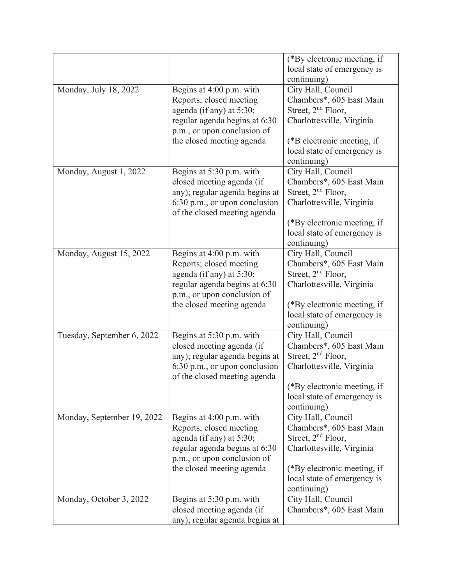|                            |                                                               | (*By electronic meeting, if                                |
|----------------------------|---------------------------------------------------------------|------------------------------------------------------------|
|                            |                                                               | local state of emergency is<br>continuing)                 |
| Monday, July 18, 2022      | Begins at 4:00 p.m. with                                      | City Hall, Council                                         |
|                            | Reports; closed meeting                                       | Chambers*, 605 East Main                                   |
|                            | agenda (if any) at 5:30;                                      | Street, $2nd$ Floor,                                       |
|                            | regular agenda begins at 6:30                                 | Charlottesville, Virginia                                  |
|                            | p.m., or upon conclusion of                                   |                                                            |
|                            | the closed meeting agenda                                     | (*B electronic meeting, if                                 |
|                            |                                                               | local state of emergency is                                |
|                            |                                                               | continuing)                                                |
| Monday, August 1, 2022     | Begins at 5:30 p.m. with                                      | City Hall, Council                                         |
|                            | closed meeting agenda (if<br>any); regular agenda begins at   | Chambers*, 605 East Main<br>Street, $2nd$ Floor,           |
|                            | 6:30 p.m., or upon conclusion                                 | Charlottesville, Virginia                                  |
|                            | of the closed meeting agenda                                  |                                                            |
|                            |                                                               | (*By electronic meeting, if                                |
|                            |                                                               | local state of emergency is                                |
|                            |                                                               | continuing)                                                |
| Monday, August 15, 2022    | Begins at 4:00 p.m. with                                      | City Hall, Council                                         |
|                            | Reports; closed meeting                                       | Chambers*, 605 East Main                                   |
|                            | agenda (if any) at 5:30;                                      | Street, 2 <sup>nd</sup> Floor,                             |
|                            | regular agenda begins at 6:30                                 | Charlottesville, Virginia                                  |
|                            | p.m., or upon conclusion of                                   |                                                            |
|                            | the closed meeting agenda                                     | (*By electronic meeting, if<br>local state of emergency is |
|                            |                                                               | continuing)                                                |
| Tuesday, September 6, 2022 | Begins at 5:30 p.m. with                                      | City Hall, Council                                         |
|                            | closed meeting agenda (if                                     | Chambers*, 605 East Main                                   |
|                            | any); regular agenda begins at                                | Street, $2nd$ Floor,                                       |
|                            | 6:30 p.m., or upon conclusion<br>of the closed meeting agenda | Charlottesville, Virginia                                  |
|                            |                                                               | (*By electronic meeting, if                                |
|                            |                                                               | local state of emergency is                                |
|                            |                                                               | continuing)                                                |
| Monday, September 19, 2022 | Begins at 4:00 p.m. with                                      | City Hall, Council                                         |
|                            | Reports; closed meeting                                       | Chambers*, 605 East Main                                   |
|                            | agenda (if any) at 5:30;                                      | Street, $2nd$ Floor,                                       |
|                            | regular agenda begins at 6:30<br>p.m., or upon conclusion of  | Charlottesville, Virginia                                  |
|                            | the closed meeting agenda                                     | (*By electronic meeting, if                                |
|                            |                                                               | local state of emergency is                                |
|                            |                                                               | continuing)                                                |
| Monday, October 3, 2022    | Begins at 5:30 p.m. with                                      | City Hall, Council                                         |
|                            | closed meeting agenda (if                                     | Chambers*, 605 East Main                                   |
|                            | any); regular agenda begins at                                |                                                            |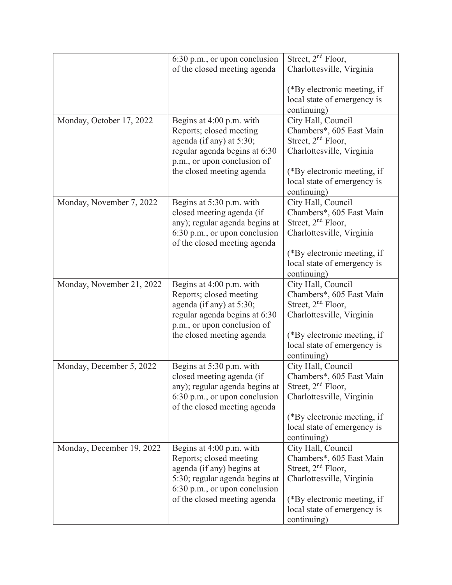|                           | 6:30 p.m., or upon conclusion                                 | Street, 2 <sup>nd</sup> Floor, |
|---------------------------|---------------------------------------------------------------|--------------------------------|
|                           | of the closed meeting agenda                                  | Charlottesville, Virginia      |
|                           |                                                               |                                |
|                           |                                                               | (*By electronic meeting, if    |
|                           |                                                               | local state of emergency is    |
|                           |                                                               | continuing)                    |
| Monday, October 17, 2022  | Begins at 4:00 p.m. with                                      | City Hall, Council             |
|                           | Reports; closed meeting                                       | Chambers*, 605 East Main       |
|                           | agenda (if any) at 5:30;                                      | Street, $2nd$ Floor,           |
|                           | regular agenda begins at 6:30                                 | Charlottesville, Virginia      |
|                           | p.m., or upon conclusion of                                   |                                |
|                           | the closed meeting agenda                                     | (*By electronic meeting, if    |
|                           |                                                               | local state of emergency is    |
|                           |                                                               | continuing)                    |
| Monday, November 7, 2022  | Begins at 5:30 p.m. with                                      | City Hall, Council             |
|                           | closed meeting agenda (if                                     | Chambers*, 605 East Main       |
|                           | any); regular agenda begins at                                | Street, $2nd$ Floor,           |
|                           | 6:30 p.m., or upon conclusion                                 | Charlottesville, Virginia      |
|                           | of the closed meeting agenda                                  |                                |
|                           |                                                               | (*By electronic meeting, if    |
|                           |                                                               | local state of emergency is    |
|                           |                                                               | continuing)                    |
| Monday, November 21, 2022 | Begins at 4:00 p.m. with                                      | City Hall, Council             |
|                           | Reports; closed meeting                                       | Chambers*, 605 East Main       |
|                           | agenda (if any) at 5:30;                                      | Street, 2 <sup>nd</sup> Floor, |
|                           | regular agenda begins at 6:30<br>p.m., or upon conclusion of  | Charlottesville, Virginia      |
|                           | the closed meeting agenda                                     | (*By electronic meeting, if    |
|                           |                                                               | local state of emergency is    |
|                           |                                                               | continuing)                    |
| Monday, December 5, 2022  | Begins at 5:30 p.m. with                                      | City Hall, Council             |
|                           | closed meeting agenda (if                                     | Chambers*, 605 East Main       |
|                           | any); regular agenda begins at                                | Street, $2nd$ Floor,           |
|                           | 6:30 p.m., or upon conclusion<br>of the closed meeting agenda | Charlottesville, Virginia      |
|                           |                                                               | (*By electronic meeting, if    |
|                           |                                                               | local state of emergency is    |
|                           |                                                               | continuing)                    |
| Monday, December 19, 2022 | Begins at 4:00 p.m. with                                      | City Hall, Council             |
|                           | Reports; closed meeting                                       | Chambers*, 605 East Main       |
|                           | agenda (if any) begins at                                     | Street, 2 <sup>nd</sup> Floor, |
|                           | 5:30; regular agenda begins at                                | Charlottesville, Virginia      |
|                           | 6:30 p.m., or upon conclusion                                 |                                |
|                           | of the closed meeting agenda                                  | (*By electronic meeting, if    |
|                           |                                                               | local state of emergency is    |
|                           |                                                               | continuing)                    |